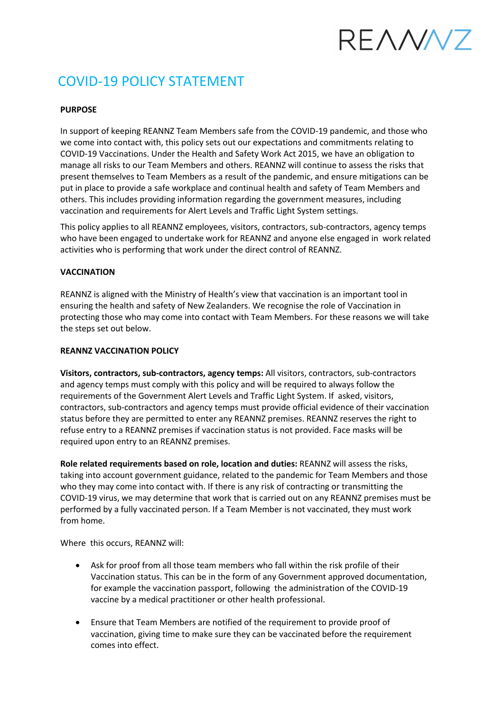# RFANN7

# COVID-19 POLICY STATEMENT

## **PURPOSE**

In support of keeping REANNZ Team Members safe from the COVID-19 pandemic, and those who we come into contact with, this policy sets out our expectations and commitments relating to COVID-19 Vaccinations. Under the Health and Safety Work Act 2015, we have an obligation to manage all risks to our Team Members and others. REANNZ will continue to assess the risks that present themselves to Team Members as a result of the pandemic, and ensure mitigations can be put in place to provide a safe workplace and continual health and safety of Team Members and others. This includes providing information regarding the government measures, including vaccination and requirements for Alert Levels and Traffic Light System settings.

This policy applies to all REANNZ employees, visitors, contractors, sub-contractors, agency temps who have been engaged to undertake work for REANNZ and anyone else engaged in work related activities who is performing that work under the direct control of REANNZ.

### **VACCINATION**

REANNZ is aligned with the Ministry of Health's view that vaccination is an important tool in ensuring the health and safety of New Zealanders. We recognise the role of Vaccination in protecting those who may come into contact with Team Members. For these reasons we will take the steps set out below.

#### **REANNZ VACCINATION POLICY**

**Visitors, contractors, sub-contractors, agency temps:** All visitors, contractors, sub-contractors and agency temps must comply with this policy and will be required to always follow the requirements of the Government Alert Levels and Traffic Light System. If asked, visitors, contractors, sub-contractors and agency temps must provide official evidence of their vaccination status before they are permitted to enter any REANNZ premises. REANNZ reserves the right to refuse entry to a REANNZ premises if vaccination status is not provided. Face masks will be required upon entry to an REANNZ premises.

**Role related requirements based on role, location and duties:** REANNZ will assess the risks, taking into account government guidance, related to the pandemic for Team Members and those who they may come into contact with. If there is any risk of contracting or transmitting the COVID-19 virus, we may determine that work that is carried out on any REANNZ premises must be performed by a fully vaccinated person. If a Team Member is not vaccinated, they must work from home.

Where this occurs, REANNZ will:

- Ask for proof from all those team members who fall within the risk profile of their Vaccination status. This can be in the form of any Government approved documentation, for example the vaccination passport, following the administration of the COVID-19 vaccine by a medical practitioner or other health professional.
- Ensure that Team Members are notified of the requirement to provide proof of vaccination, giving time to make sure they can be vaccinated before the requirement comes into effect.